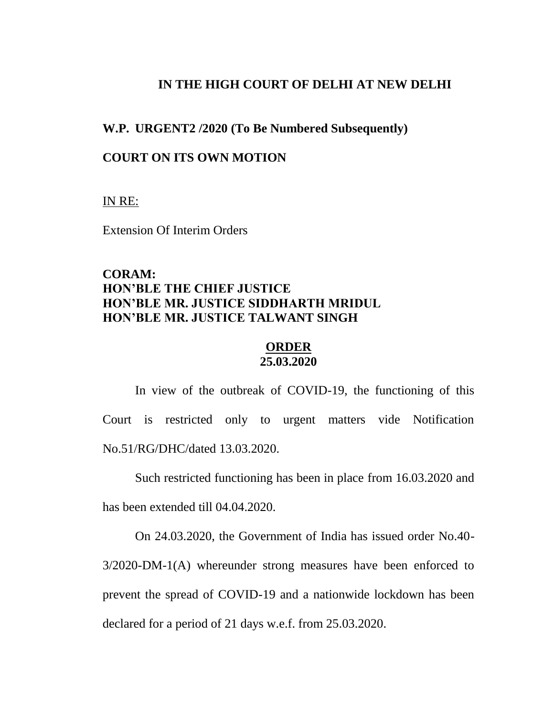#### **IN THE HIGH COURT OF DELHI AT NEW DELHI**

#### **W.P. URGENT2 /2020 (To Be Numbered Subsequently)**

### **COURT ON ITS OWN MOTION**

IN RE:

Extension Of Interim Orders

# **CORAM: HON'BLE THE CHIEF JUSTICE HON'BLE MR. JUSTICE SIDDHARTH MRIDUL HON'BLE MR. JUSTICE TALWANT SINGH**

### **ORDER 25.03.2020**

In view of the outbreak of COVID-19, the functioning of this Court is restricted only to urgent matters vide Notification No.51/RG/DHC/dated 13.03.2020.

Such restricted functioning has been in place from 16.03.2020 and

has been extended till 04.04.2020.

On 24.03.2020, the Government of India has issued order No.40- 3/2020-DM-1(A) whereunder strong measures have been enforced to prevent the spread of COVID-19 and a nationwide lockdown has been declared for a period of 21 days w.e.f. from 25.03.2020.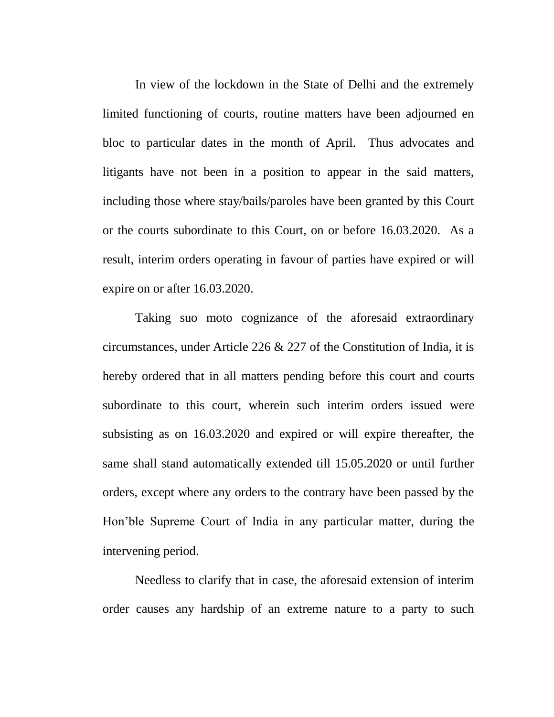In view of the lockdown in the State of Delhi and the extremely limited functioning of courts, routine matters have been adjourned en bloc to particular dates in the month of April. Thus advocates and litigants have not been in a position to appear in the said matters, including those where stay/bails/paroles have been granted by this Court or the courts subordinate to this Court, on or before 16.03.2020. As a result, interim orders operating in favour of parties have expired or will expire on or after 16.03.2020.

Taking suo moto cognizance of the aforesaid extraordinary circumstances, under Article 226 & 227 of the Constitution of India, it is hereby ordered that in all matters pending before this court and courts subordinate to this court, wherein such interim orders issued were subsisting as on 16.03.2020 and expired or will expire thereafter, the same shall stand automatically extended till 15.05.2020 or until further orders, except where any orders to the contrary have been passed by the Hon'ble Supreme Court of India in any particular matter, during the intervening period.

Needless to clarify that in case, the aforesaid extension of interim order causes any hardship of an extreme nature to a party to such